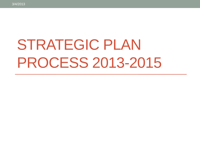# STRATEGIC PLAN PROCESS 2013-2015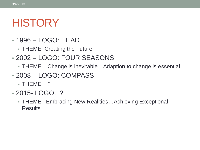### HISTORY

- 1996 LOGO: HEAD
	- THEME: Creating the Future
- 2002 LOGO: FOUR SEASONS
	- THEME: Change is inevitable…Adaption to change is essential.
- 2008 LOGO: COMPASS
	- THEME: ?
- 2015- LOGO: ?
	- THEME: Embracing New Realities…Achieving Exceptional **Results**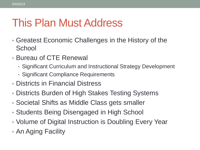# This Plan Must Address

- Greatest Economic Challenges in the History of the **School**
- Bureau of CTE Renewal
	- Significant Curriculum and Instructional Strategy Development
	- Significant Compliance Requirements
- Districts in Financial Distress
- Districts Burden of High Stakes Testing Systems
- Societal Shifts as Middle Class gets smaller
- Students Being Disengaged in High School
- Volume of Digital Instruction is Doubling Every Year
- An Aging Facility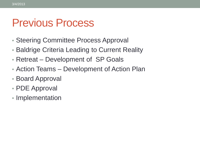#### Previous Process

- Steering Committee Process Approval
- Baldrige Criteria Leading to Current Reality
- Retreat Development of SP Goals
- Action Teams Development of Action Plan
- Board Approval
- PDE Approval
- Implementation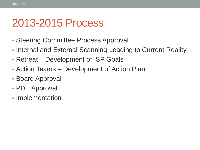#### 2013-2015 Process

- Steering Committee Process Approval
- Internal and External Scanning Leading to Current Reality
- Retreat Development of SP Goals
- Action Teams Development of Action Plan
- Board Approval
- PDE Approval
- Implementation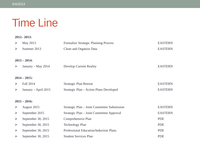### Time Line

#### **2012– 2013:**

| $\blacktriangleright$ | May 2013             | <b>Formalize Strategic Planning Process</b> | <b>EASTERN</b> |
|-----------------------|----------------------|---------------------------------------------|----------------|
| $\blacktriangleright$ | Summer 2013          | Clean and Organize Data                     | <b>EASTERN</b> |
| $2013 - 2014$ :       |                      |                                             |                |
| ➤                     | January – May 2014   | <b>Develop Current Reality</b>              | <b>EASTERN</b> |
|                       | $2014 - 2015$ :      |                                             |                |
|                       |                      |                                             |                |
| $\blacktriangleright$ | Fall 2014            | Strategic Plan Retreat                      | <b>EASTERN</b> |
| $\blacktriangleright$ | January – April 2015 | Strategic Plan – Action Plans Developed     | <b>EASTERN</b> |
| $2015 - 2016$ :       |                      |                                             |                |
| $\blacktriangleright$ | August 2015          | Strategic Plan – Joint Committee Submission | <b>EASTERN</b> |
| $\blacktriangleright$ | September 2015       | Strategic Plan - Joint Committee Approval   | <b>EASTERN</b> |
| $\blacktriangleright$ | September 30, 2015   | Comprehensive Plan                          | <b>PDE</b>     |
| $\blacktriangleright$ | September 30, 2015   | <b>Technology Plan</b>                      | <b>PDE</b>     |
| $\blacktriangleright$ | September 30, 2015   | Professional Education/Induction Plans      | <b>PDE</b>     |
| $\blacktriangleright$ | September 30, 2015   | <b>Student Services Plan</b>                | <b>PDE</b>     |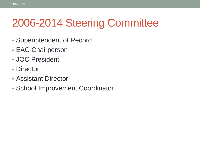# 2006-2014 Steering Committee

- Superintendent of Record
- EAC Chairperson
- JOC President
- Director

3/4/2013

- Assistant Director
- School Improvement Coordinator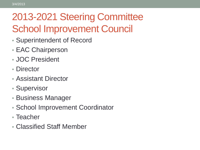# 2013-2021 Steering Committee School Improvement Council

- Superintendent of Record
- EAC Chairperson
- JOC President
- Director
- Assistant Director
- Supervisor
- Business Manager
- School Improvement Coordinator
- Teacher
- Classified Staff Member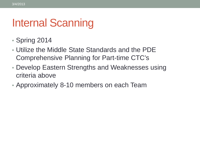# Internal Scanning

- Spring 2014
- Utilize the Middle State Standards and the PDE Comprehensive Planning for Part-time CTC's
- Develop Eastern Strengths and Weaknesses using criteria above
- Approximately 8-10 members on each Team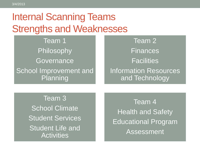#### Internal Scanning Teams Strengths and Weaknesses

Team 1 Philosophy **Governance** School Improvement and Planning

Team 2 Finances **Facilities** Information Resources and Technology

Team 3 School Climate Student Services Student Life and **Activities** 

Team 4 Health and Safety Educational Program Assessment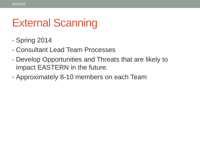# External Scanning

- Spring 2014
- Consultant Lead Team Processes
- Develop Opportunities and Threats that are likely to impact EASTERN in the future.
- Approximately 8-10 members on each Team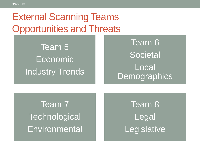#### External Scanning Teams Opportunities and Threats

Team 5 **Economic** Industry Trends

#### Team 6 **Societal Local Demographics**

Team 7 **Technological Environmental** 

Team 8 Legal **Legislative**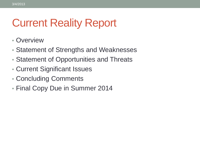# Current Reality Report

- Overview
- Statement of Strengths and Weaknesses
- Statement of Opportunities and Threats
- Current Significant Issues
- Concluding Comments
- Final Copy Due in Summer 2014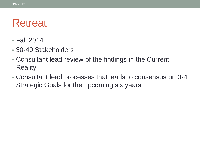### **Retreat**

- Fall 2014
- 30-40 Stakeholders
- Consultant lead review of the findings in the Current **Reality**
- Consultant lead processes that leads to consensus on 3-4 Strategic Goals for the upcoming six years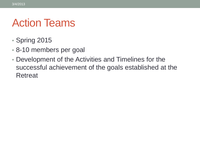# Action Teams

- Spring 2015
- 8-10 members per goal
- Development of the Activities and Timelines for the successful achievement of the goals established at the **Retreat**